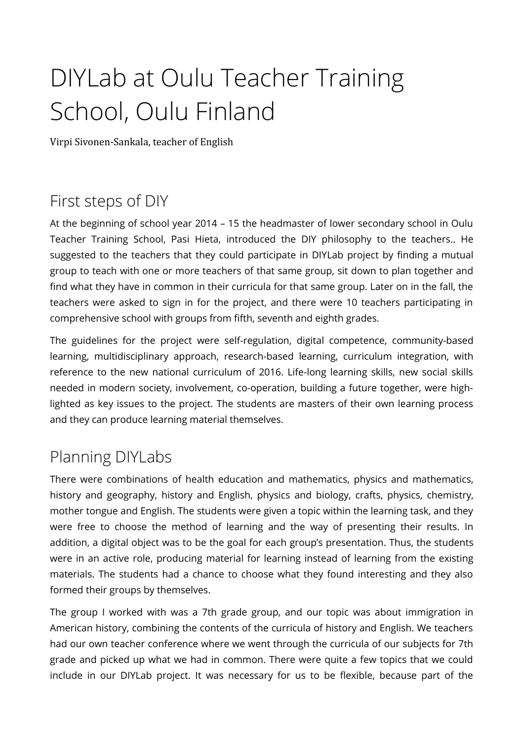# DIYLab at Oulu Teacher Training School, Oulu Finland

Virpi Sivonen-Sankala, teacher of English

## First steps of DIY

At the beginning of school year 2014 – 15 the headmaster of lower secondary school in Oulu Teacher Training School, Pasi Hieta, introduced the DIY philosophy to the teachers.. He suggested to the teachers that they could participate in DIYLab project by finding a mutual group to teach with one or more teachers of that same group, sit down to plan together and find what they have in common in their curricula for that same group. Later on in the fall, the teachers were asked to sign in for the project, and there were 10 teachers participating in comprehensive school with groups from fifth, seventh and eighth grades.

The guidelines for the project were self-regulation, digital competence, community-based learning, multidisciplinary approach, research-based learning, curriculum integration, with reference to the new national curriculum of 2016. Life-long learning skills, new social skills needed in modern society, involvement, co-operation, building a future together, were highlighted as key issues to the project. The students are masters of their own learning process and they can produce learning material themselves.

## Planning DIYLabs

There were combinations of health education and mathematics, physics and mathematics, history and geography, history and English, physics and biology, crafts, physics, chemistry, mother tongue and English. The students were given a topic within the learning task, and they were free to choose the method of learning and the way of presenting their results. In addition, a digital object was to be the goal for each group's presentation. Thus, the students were in an active role, producing material for learning instead of learning from the existing materials. The students had a chance to choose what they found interesting and they also formed their groups by themselves.

The group I worked with was a 7th grade group, and our topic was about immigration in American history, combining the contents of the curricula of history and English. We teachers had our own teacher conference where we went through the curricula of our subjects for 7th grade and picked up what we had in common. There were quite a few topics that we could include in our DIYLab project. It was necessary for us to be fexible, because part of the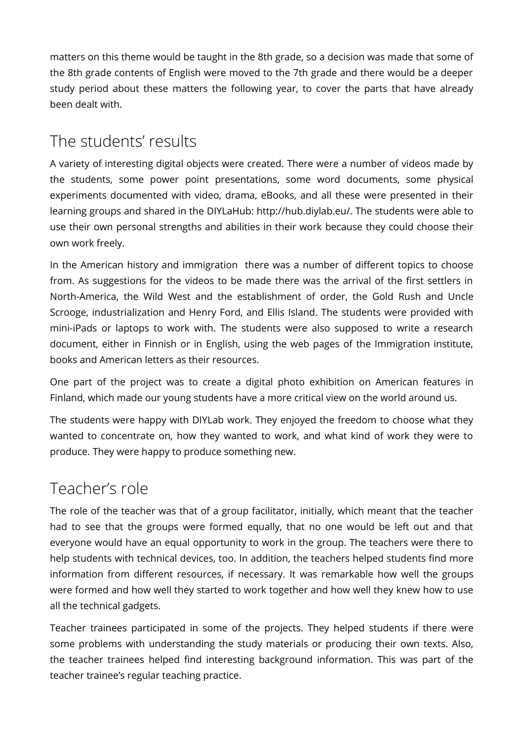matters on this theme would be taught in the 8th grade, so a decision was made that some of the 8th grade contents of English were moved to the 7th grade and there would be a deeper study period about these matters the following year, to cover the parts that have already been dealt with.

## The students' results

A variety of interesting digital objects were created. There were a number of videos made by the students, some power point presentations, some word documents, some physical experiments documented with video, drama, eBooks, and all these were presented in their learning groups and shared in the DIYLaHub: http://hub.diylab.eu/. The students were able to use their own personal strengths and abilities in their work because they could choose their own work freely.

In the American history and immigration there was a number of diferent topics to choose from. As suggestions for the videos to be made there was the arrival of the first settlers in North-America, the Wild West and the establishment of order, the Gold Rush and Uncle Scrooge, industrialization and Henry Ford, and Ellis Island. The students were provided with mini-iPads or laptops to work with. The students were also supposed to write a research document, either in Finnish or in English, using the web pages of the Immigration institute, books and American letters as their resources.

One part of the project was to create a digital photo exhibition on American features in Finland, which made our young students have a more critical view on the world around us.

The students were happy with DIYLab work. They enjoyed the freedom to choose what they wanted to concentrate on, how they wanted to work, and what kind of work they were to produce. They were happy to produce something new.

## Teacher's role

The role of the teacher was that of a group facilitator, initially, which meant that the teacher had to see that the groups were formed equally, that no one would be left out and that everyone would have an equal opportunity to work in the group. The teachers were there to help students with technical devices, too. In addition, the teachers helped students find more information from diferent resources, if necessary. It was remarkable how well the groups were formed and how well they started to work together and how well they knew how to use all the technical gadgets.

Teacher trainees participated in some of the projects. They helped students if there were some problems with understanding the study materials or producing their own texts. Also, the teacher trainees helped find interesting background information. This was part of the teacher trainee's regular teaching practice.